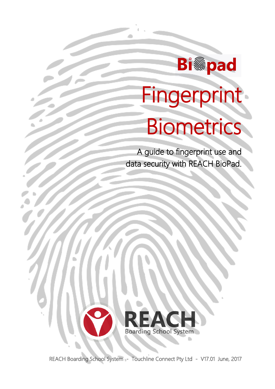

Ĭ

Į

j

# Fingerprint Biometrics

A guide to fingerprint use and data security with REACH BioPad.



REACH Boarding School System - Touchline Connect Pty Ltd - V17.01 June, 2017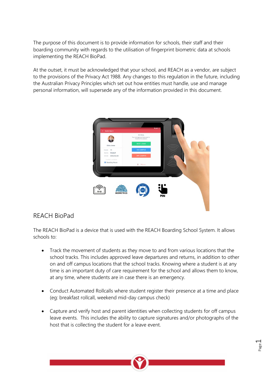The purpose of this document is to provide information for schools, their staff and their boarding community with regards to the utilisation of fingerprint biometric data at schools implementing the REACH BioPad.

At the outset, it must be acknowledged that your school, and REACH as a vendor, are subject to the provisions of the Privacy Act 1988. Any changes to this regulation in the future, including the Australian Privacy Principles which set out how entities must handle, use and manage personal information, will supersede any of the information provided in this document.



### REACH BioPad

The REACH BioPad is a device that is used with the REACH Boarding School System. It allows schools to:

- Track the movement of students as they move to and from various locations that the school tracks. This includes approved leave departures and returns, in addition to other on and off campus locations that the school tracks. Knowing where a student is at any time is an important duty of care requirement for the school and allows them to know, at any time, where students are in case there is an emergency.
- Conduct Automated Rollcalls where student register their presence at a time and place (eg: breakfast rollcall, weekend mid-day campus check)
- Capture and verify host and parent identities when collecting students for off campus leave events. This includes the ability to capture signatures and/or photographs of the host that is collecting the student for a leave event.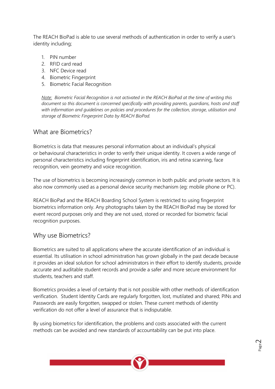The REACH BioPad is able to use several methods of authentication in order to verify a user's identity including;

- 1. PIN number
- 2. RFID card read
- 3. NFC Device read
- 4. Biometric Fingerprint
- 5. Biometric Facial Recognition

*Note: Biometric Facial Recognition is not activated in the REACH BioPad at the time of writing this document so this document is concerned specifically with providing parents, guardians, hosts and staff with information and guidelines on policies and procedures for the collection, storage, utilisation and storage of Biometric Fingerprint Data by REACH BioPad.*

### What are Biometrics?

Biometrics is data that measures personal information about an individual's physical or behavioural characteristics in order to verify their unique identity. It covers a wide range of personal characteristics including fingerprint identification, iris and retina scanning, face recognition, vein geometry and voice recognition.

The use of biometrics is becoming increasingly common in both public and private sectors. It is also now commonly used as a personal device security mechanism (eg: mobile phone or PC).

REACH BioPad and the REACH Boarding School System is restricted to using fingerprint biometrics information only. Any photographs taken by the REACH BioPad may be stored for event record purposes only and they are not used, stored or recorded for biometric facial recognition purposes.

### Why use Biometrics?

Biometrics are suited to all applications where the accurate identification of an individual is essential. Its utilisation in school administration has grown globally in the past decade because it provides an ideal solution for school administrators in their effort to identify students, provide accurate and auditable student records and provide a safer and more secure environment for students, teachers and staff.

Biometrics provides a level of certainty that is not possible with other methods of identification verification. Student Identity Cards are regularly forgotten, lost, mutilated and shared; PINs and Passwords are easily forgotten, swapped or stolen. These current methods of identity verification do not offer a level of assurance that is indisputable.

By using biometrics for identification, the problems and costs associated with the current methods can be avoided and new standards of accountability can be put into place.

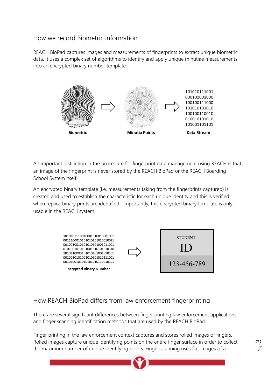## How we record Biometric information

REACH BioPad captures images and measurements of fingerprints to extract unique biometric data. It uses a complex set of algorithms to identify and apply unique minutiae measurements into an encrypted binary number template.



An important distinction in the procedure for fingerprint data management using REACH is that an image of the fingerprint is never stored by the REACH BioPad or the REACH Boarding School System itself.

An encrypted binary template (i.e. measurements taking from the fingerprints captured) is created and used to establish the characteristic for each unique identity and this is verified when replica binary prints are identified. Importantly, this encrypted binary template is only usable in the REACH system.



# How REACH BioPad differs from law enforcement fingerprinting

There are several significant differences between finger printing law enforcement applications and finger scanning identification methods that are used by the REACH BioPad.

Finger printing in the law enforcement context captures and stores rolled images of fingers. Rolled images capture unique identifying points on the entire finger surface in order to collect the maximum number of unique identifying points. Finger scanning uses flat images of a

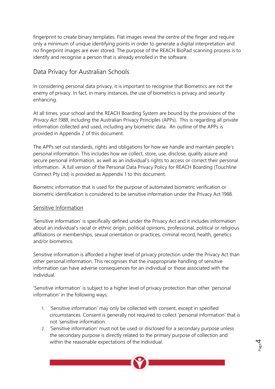fingerprint to create binary templates. Flat images reveal the centre of the finger and require only a minimum of unique identifying points in order to generate a digital interpretation and no fingerprint images are ever stored. The purpose of the REACH BioPad scanning process is to identify and recognise a person that is already enrolled in the software.

## Data Privacy for Australian Schools

In considering personal data privacy, it is important to recognise that Biometrics are not the enemy of privacy. In fact, in many instances, the use of biometrics is privacy and security enhancing.

At all times, your school and the REACH Boarding System are bound by the provisions of the *Privacy Act 1988*, including the Australian Privacy Principles (APPs). This is regarding all private information collected and used, including any biometric data. An outline of the APPs is provided in Appendix 2 of this document.

The APPs set out standards, rights and obligations for how we handle and maintain people's personal information. This includes how we collect, store, use, disclose, quality assure and secure personal information, as well as an individual's rights to access or correct their personal information. A full version of the Personal Data Privacy Policy for REACH Boarding (Touchline Connect Pty Ltd) is provided as Appendix 1 to this document.

Biometric information that is used for the purpose of automated biometric verification or biometric identification is considered to be sensitive information under the Privacy Act 1988.

#### Sensitive Information

'Sensitive information' is specifically defined under the Privacy Act and it includes information about an individual's racial or ethnic origin, political opinions, professional, political or religious affiliations or memberships, sexual orientation or practices, criminal record, health, genetics and/or biometrics.

Sensitive information is afforded a higher level of privacy protection under the Privacy Act than other personal information. This recognises that the inappropriate handling of sensitive information can have adverse consequences for an individual or those associated with the individual.

'Sensitive information' is subject to a higher level of privacy protection than other 'personal information' in the following ways:

- 1. 'Sensitive information' may only be collected with consent, except in specified circumstances. Consent is generally not required to collect 'personal information' that is not 'sensitive information.
- 2. 'Sensitive information' must not be used or disclosed for a secondary purpose unless the secondary purpose is directly related to the primary purpose of collection and within the reasonable expectations of the individual.

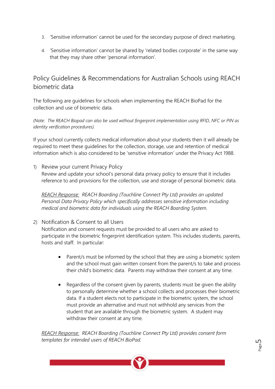- 3. 'Sensitive information' cannot be used for the secondary purpose of direct marketing.
- 4. 'Sensitive information' cannot be shared by 'related bodies corporate' in the same way that they may share other 'personal information'.

# Policy Guidelines & Recommendations for Australian Schools using REACH biometric data

The following are guidelines for schools when implementing the REACH BioPad for the collection and use of biometric data.

*(Note: The REACH Biopad can also be used without fingerprint implementation using RFID, NFC or PIN as identity verification procedures).*

If your school currently collects medical information about your students then it will already be required to meet these guidelines for the collection, storage, use and retention of medical information which is also considered to be 'sensitive information' under the Privacy Act 1988.

1) Review your current Privacy Policy Review and update your school's personal data privacy policy to ensure that it includes reference to and provisions for the collection, use and storage of personal biometric data.

*REACH Response: REACH Boarding (Touchline Connect Pty Ltd) provides an updated Personal Data Privacy Policy which specifically addresses sensitive information including medical and biometric data for individuals using the REACH Boarding System.*

2) Notification & Consent to all Users

Notification and consent requests must be provided to all users who are asked to participate in the biometric fingerprint identification system. This includes students, parents, hosts and staff. In particular:

- Parent/s must be informed by the school that they are using a biometric system and the school must gain written consent from the parent/s to take and process their child's biometric data. Parents may withdraw their consent at any time.
- Regardless of the consent given by parents, students must be given the ability to personally determine whether a school collects and processes their biometric data. If a student elects not to participate in the biometric system, the school must provide an alternative and must not withhold any services from the student that are available through the biometric system. A student may withdraw their consent at any time.

*REACH Response: REACH Boarding (Touchline Connect Pty Ltd) provides consent form templates for intended users of REACH BioPad.*

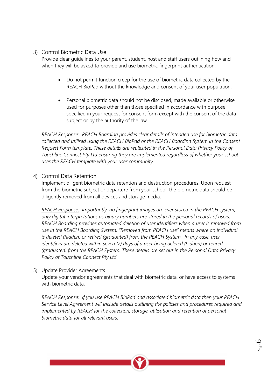### 3) Control Biometric Data Use

Provide clear guidelines to your parent, student, host and staff users outlining how and when they will be asked to provide and use biometric fingerprint authentication.

- Do not permit function creep for the use of biometric data collected by the REACH BioPad without the knowledge and consent of your user population.
- Personal biometric data should not be disclosed, made available or otherwise used for purposes other than those specified in accordance with purpose specified in your request for consent form except with the consent of the data subject or by the authority of the law.

*REACH Response: REACH Boarding provides clear details of intended use for biometric data collected and utilised using the REACH BioPad or the REACH Boarding System in the Consent Request Form template. These details are replicated in the Personal Data Privacy Policy of Touchline Connect Pty Ltd ensuring they are implemented regardless of whether your school uses the REACH template with your user community.*

#### 4) Control Data Retention

Implement diligent biometric data retention and destruction procedures. Upon request from the biometric subject or departure from your school, the biometric data should be diligently removed from all devices and storage media.

*REACH Response: Importantly, no fingerprint images are ever stored in the REACH system, only digital interpretations as binary numbers are stored in the personal records of users. REACH Boarding provides automated deletion of user identifiers when a user is removed from use in the REACH Boarding System. "Removed from REACH use" means where an individual is deleted (hidden) or retired (graduated) from the REACH System. In any case, user identifiers are deleted within seven (7) days of a user being deleted (hidden) or retired (graduated) from the REACH System. These details are set out in the Personal Data Privacy Policy of Touchline Connect Pty Ltd*

5) Update Provider Agreements

Update your vendor agreements that deal with biometric data, or have access to systems with biometric data.

*REACH Response: If you use REACH BioPad and associated biometric data then your REACH Service Level Agreement will include details outlining the policies and procedures required and implemented by REACH for the collection, storage, utilisation and retention of personal biometric data for all relevant users.*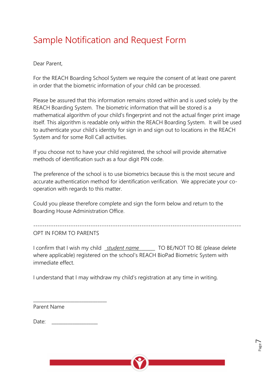# Sample Notification and Request Form

Dear Parent,

For the REACH Boarding School System we require the consent of at least one parent in order that the biometric information of your child can be processed.

Please be assured that this information remains stored within and is used solely by the REACH Boarding System. The biometric information that will be stored is a mathematical algorithm of your child's fingerprint and not the actual finger print image itself. This algorithm is readable only within the REACH Boarding System. It will be used to authenticate your child's identity for sign in and sign out to locations in the REACH System and for some Roll Call activities.

If you choose not to have your child registered, the school will provide alternative methods of identification such as a four digit PIN code.

The preference of the school is to use biometrics because this is the most secure and accurate authentication method for identification verification. We appreciate your cooperation with regards to this matter.

Could you please therefore complete and sign the form below and return to the Boarding House Administration Office.

----------------------------------------------------------------------------------------------

OPT IN FORM TO PARENTS

I confirm that I wish my child \_*student name*\_\_\_\_\_\_\_ TO BE/NOT TO BE (please delete where applicable) registered on the school's REACH BioPad Biometric System with immediate effect.

I understand that I may withdraw my child's registration at any time in writing.

Parent Name

Date:

\_\_\_\_\_\_\_\_\_\_\_\_\_\_\_\_\_\_\_\_\_\_\_\_\_\_\_\_\_\_\_\_

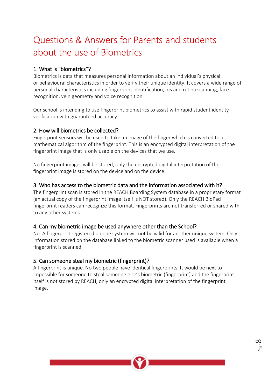# Questions & Answers for Parents and students about the use of Biometrics

### 1. What is "biometrics"?

Biometrics is data that measures personal information about an individual's physical or behavioural characteristics in order to verify their unique identity. It covers a wide range of personal characteristics including fingerprint identification, iris and retina scanning, face recognition, vein geometry and voice recognition.

Our school is intending to use fingerprint biometrics to assist with rapid student identity verification with guaranteed accuracy.

### 2. How will biometrics be collected?

Fingerprint sensors will be used to take an image of the finger which is converted to a mathematical algorithm of the fingerprint. This is an encrypted digital interpretation of the fingerprint image that is only usable on the devices that we use.

No fingerprint images will be stored, only the encrypted digital interpretation of the fingerprint image is stored on the device and on the device.

### 3. Who has access to the biometric data and the information associated with it?

The fingerprint scan is stored in the REACH Boarding System database in a proprietary format (an actual copy of the fingerprint image itself is NOT stored). Only the REACH BioPad fingerprint readers can recognize this format. Fingerprints are not transferred or shared with to any other systems.

### 4. Can my biometric image be used anywhere other than the School?

No. A fingerprint registered on one system will not be valid for another unique system. Only information stored on the database linked to the biometric scanner used is available when a fingerprint is scanned.

#### 5. Can someone steal my biometric (fingerprint)?

A fingerprint is unique. No two people have identical fingerprints. It would be next to impossible for someone to steal someone else's biometric (fingerprint) and the fingerprint itself is not stored by REACH, only an encrypted digital interpretation of the fingerprint image.

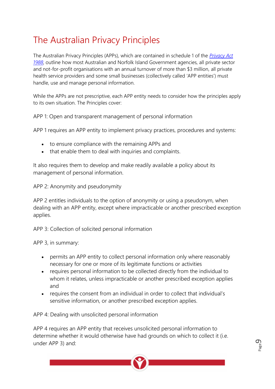# The Australian Privacy Principles

The Australian Privacy Principles (APPs), which are contained in schedule 1 of the *[Privacy Act](http://www.comlaw.gov.au/Series/C2004A03712)  [1988](http://www.comlaw.gov.au/Series/C2004A03712)*, outline how most Australian and Norfolk Island Government agencies, all private sector and not-for-profit organisations with an annual turnover of more than \$3 million, all private health service providers and some small businesses (collectively called 'APP entities') must handle, use and manage personal information.

While the APPs are not prescriptive, each APP entity needs to consider how the principles apply to its own situation. The Principles cover:

APP 1: Open and transparent management of personal information

APP 1 requires an APP entity to implement privacy practices, procedures and systems:

- to ensure compliance with the remaining APPs and
- that enable them to deal with inquiries and complaints.

It also requires them to develop and make readily available a policy about its management of personal information.

APP 2: Anonymity and pseudonymity

APP 2 entitles individuals to the option of anonymity or using a pseudonym, when dealing with an APP entity, except where impracticable or another prescribed exception applies.

APP 3: Collection of solicited personal information

APP 3, in summary:

- permits an APP entity to collect personal information only where reasonably necessary for one or more of its legitimate functions or activities
- requires personal information to be collected directly from the individual to whom it relates, unless impracticable or another prescribed exception applies and
- requires the consent from an individual in order to collect that individual's sensitive information, or another prescribed exception applies.

APP 4: Dealing with unsolicited personal information

APP 4 requires an APP entity that receives unsolicited personal information to determine whether it would otherwise have had grounds on which to collect it (i.e. under APP 3) and:

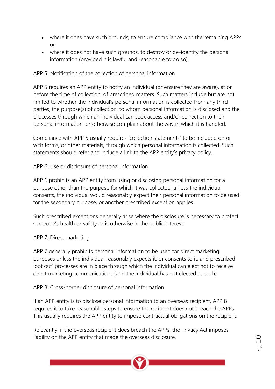- where it does have such grounds, to ensure compliance with the remaining APPs or
- where it does not have such grounds, to destroy or de-identify the personal information (provided it is lawful and reasonable to do so).

### APP 5: Notification of the collection of personal information

APP 5 requires an APP entity to notify an individual (or ensure they are aware), at or before the time of collection, of prescribed matters. Such matters include but are not limited to whether the individual's personal information is collected from any third parties, the purpose(s) of collection, to whom personal information is disclosed and the processes through which an individual can seek access and/or correction to their personal information, or otherwise complain about the way in which it is handled.

Compliance with APP 5 usually requires 'collection statements' to be included on or with forms, or other materials, through which personal information is collected. Such statements should refer and include a link to the APP entity's privacy policy.

APP 6: Use or disclosure of personal information

APP 6 prohibits an APP entity from using or disclosing personal information for a purpose other than the purpose for which it was collected, unless the individual consents, the individual would reasonably expect their personal information to be used for the secondary purpose, or another prescribed exception applies.

Such prescribed exceptions generally arise where the disclosure is necessary to protect someone's health or safety or is otherwise in the public interest.

### APP 7: Direct marketing

APP 7 generally prohibits personal information to be used for direct marketing purposes unless the individual reasonably expects it, or consents to it, and prescribed 'opt out' processes are in place through which the individual can elect not to receive direct marketing communications (and the individual has not elected as such).

### APP 8: Cross-border disclosure of personal information

If an APP entity is to disclose personal information to an overseas recipient, APP 8 requires it to take reasonable steps to ensure the recipient does not breach the APPs. This usually requires the APP entity to impose contractual obligations on the recipient.

Relevantly, if the overseas recipient does breach the APPs, the Privacy Act imposes liability on the APP entity that made the overseas disclosure.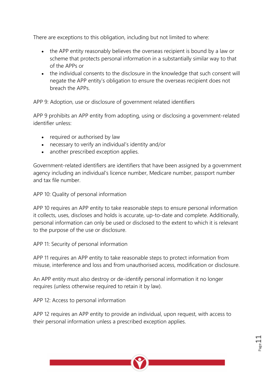There are exceptions to this obligation, including but not limited to where:

- the APP entity reasonably believes the overseas recipient is bound by a law or scheme that protects personal information in a substantially similar way to that of the APPs or
- the individual consents to the disclosure in the knowledge that such consent will negate the APP entity's obligation to ensure the overseas recipient does not breach the APPs.

APP 9: Adoption, use or disclosure of government related identifiers

APP 9 prohibits an APP entity from adopting, using or disclosing a government-related identifier unless:

- required or authorised by law
- necessary to verify an individual's identity and/or
- another prescribed exception applies.

Government-related identifiers are identifiers that have been assigned by a government agency including an individual's licence number, Medicare number, passport number and tax file number.

APP 10: Quality of personal information

APP 10 requires an APP entity to take reasonable steps to ensure personal information it collects, uses, discloses and holds is accurate, up-to-date and complete. Additionally, personal information can only be used or disclosed to the extent to which it is relevant to the purpose of the use or disclosure.

APP 11: Security of personal information

APP 11 requires an APP entity to take reasonable steps to protect information from misuse, interference and loss and from unauthorised access, modification or disclosure.

An APP entity must also destroy or de-identify personal information it no longer requires (unless otherwise required to retain it by law).

APP 12: Access to personal information

APP 12 requires an APP entity to provide an individual, upon request, with access to their personal information unless a prescribed exception applies.